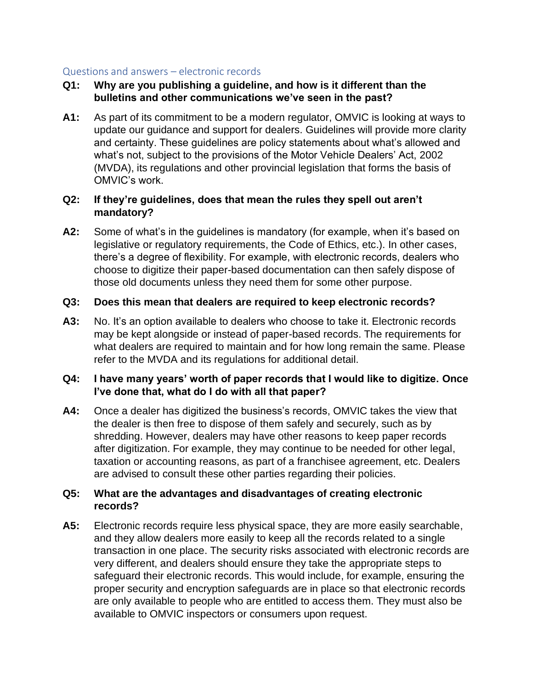## Questions and answers – electronic records

## **Q1: Why are you publishing a guideline, and how is it different than the bulletins and other communications we've seen in the past?**

**A1:** As part of its commitment to be a modern regulator, OMVIC is looking at ways to update our guidance and support for dealers. Guidelines will provide more clarity and certainty. These guidelines are policy statements about what's allowed and what's not, subject to the provisions of the Motor Vehicle Dealers' Act, 2002 (MVDA), its regulations and other provincial legislation that forms the basis of OMVIC's work.

### **Q2: If they're guidelines, does that mean the rules they spell out aren't mandatory?**

**A2:** Some of what's in the guidelines is mandatory (for example, when it's based on legislative or regulatory requirements, the Code of Ethics, etc.). In other cases, there's a degree of flexibility. For example, with electronic records, dealers who choose to digitize their paper-based documentation can then safely dispose of those old documents unless they need them for some other purpose.

## **Q3: Does this mean that dealers are required to keep electronic records?**

**A3:** No. It's an option available to dealers who choose to take it. Electronic records may be kept alongside or instead of paper-based records. The requirements for what dealers are required to maintain and for how long remain the same. Please refer to the MVDA and its regulations for additional detail.

# **Q4: I have many years' worth of paper records that I would like to digitize. Once I've done that, what do I do with all that paper?**

**A4:** Once a dealer has digitized the business's records, OMVIC takes the view that the dealer is then free to dispose of them safely and securely, such as by shredding. However, dealers may have other reasons to keep paper records after digitization. For example, they may continue to be needed for other legal, taxation or accounting reasons, as part of a franchisee agreement, etc. Dealers are advised to consult these other parties regarding their policies.

#### **Q5: What are the advantages and disadvantages of creating electronic records?**

**A5:** Electronic records require less physical space, they are more easily searchable, and they allow dealers more easily to keep all the records related to a single transaction in one place. The security risks associated with electronic records are very different, and dealers should ensure they take the appropriate steps to safeguard their electronic records. This would include, for example, ensuring the proper security and encryption safeguards are in place so that electronic records are only available to people who are entitled to access them. They must also be available to OMVIC inspectors or consumers upon request.